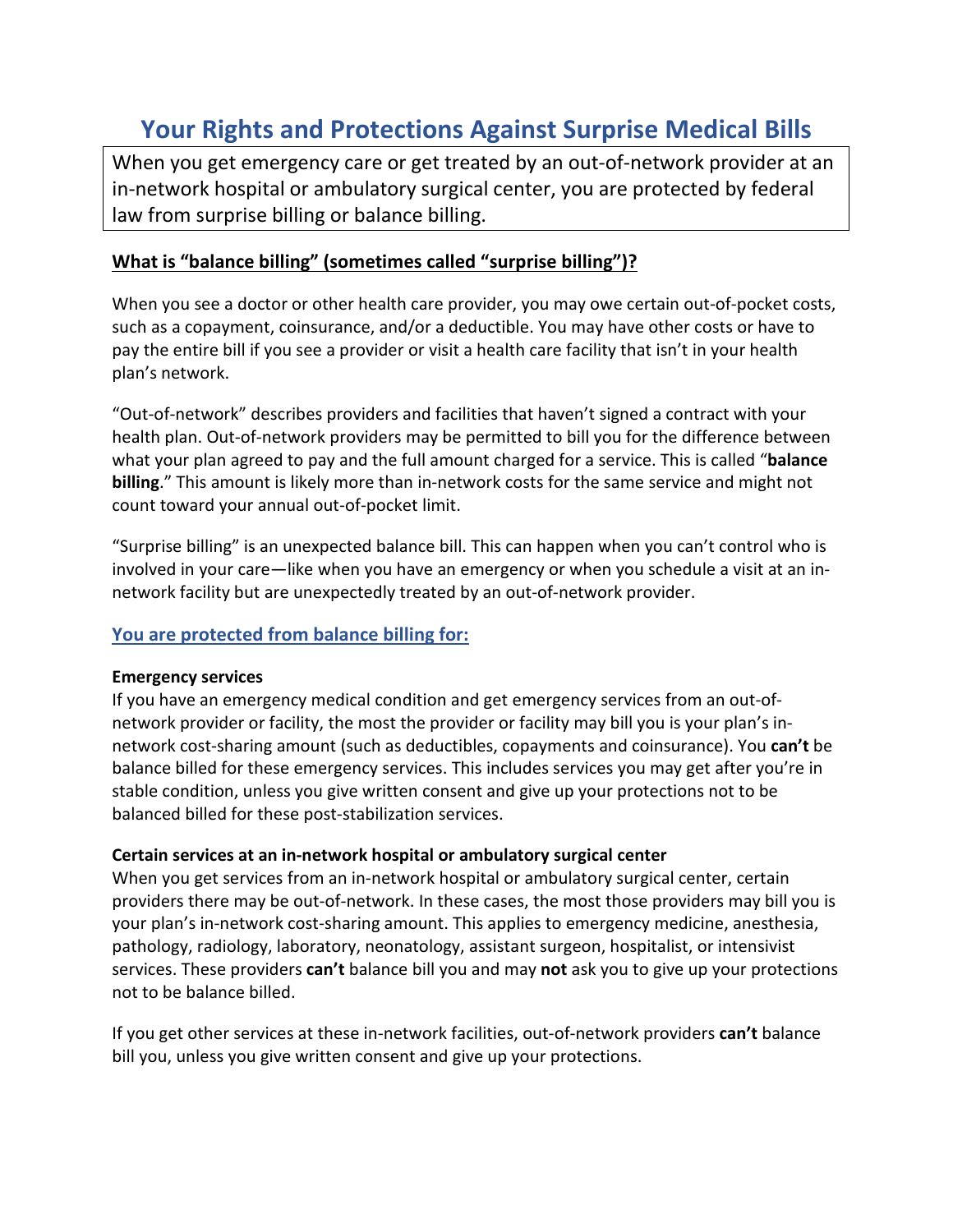# **Your Rights and Protections Against Surprise Medical Bills**

When you get emergency care or get treated by an out-of-network provider at an in-network hospital or ambulatory surgical center, you are protected by federal law from surprise billing or balance billing.

## **What is "balance billing" (sometimes called "surprise billing")?**

When you see a doctor or other health care provider, you may owe certain out-of-pocket costs, such as a copayment, coinsurance, and/or a deductible. You may have other costs or have to pay the entire bill if you see a provider or visit a health care facility that isn't in your health plan's network.

"Out-of-network" describes providers and facilities that haven't signed a contract with your health plan. Out-of-network providers may be permitted to bill you for the difference between what your plan agreed to pay and the full amount charged for a service. This is called "**balance billing**." This amount is likely more than in-network costs for the same service and might not count toward your annual out-of-pocket limit.

"Surprise billing" is an unexpected balance bill. This can happen when you can't control who is involved in your care—like when you have an emergency or when you schedule a visit at an innetwork facility but are unexpectedly treated by an out-of-network provider.

## **You are protected from balance billing for:**

#### **Emergency services**

If you have an emergency medical condition and get emergency services from an out-ofnetwork provider or facility, the most the provider or facility may bill you is your plan's innetwork cost-sharing amount (such as deductibles, copayments and coinsurance). You **can't** be balance billed for these emergency services. This includes services you may get after you're in stable condition, unless you give written consent and give up your protections not to be balanced billed for these post-stabilization services.

#### **Certain services at an in-network hospital or ambulatory surgical center**

When you get services from an in-network hospital or ambulatory surgical center, certain providers there may be out-of-network. In these cases, the most those providers may bill you is your plan's in-network cost-sharing amount. This applies to emergency medicine, anesthesia, pathology, radiology, laboratory, neonatology, assistant surgeon, hospitalist, or intensivist services. These providers **can't** balance bill you and may **not** ask you to give up your protections not to be balance billed.

If you get other services at these in-network facilities, out-of-network providers **can't** balance bill you, unless you give written consent and give up your protections.